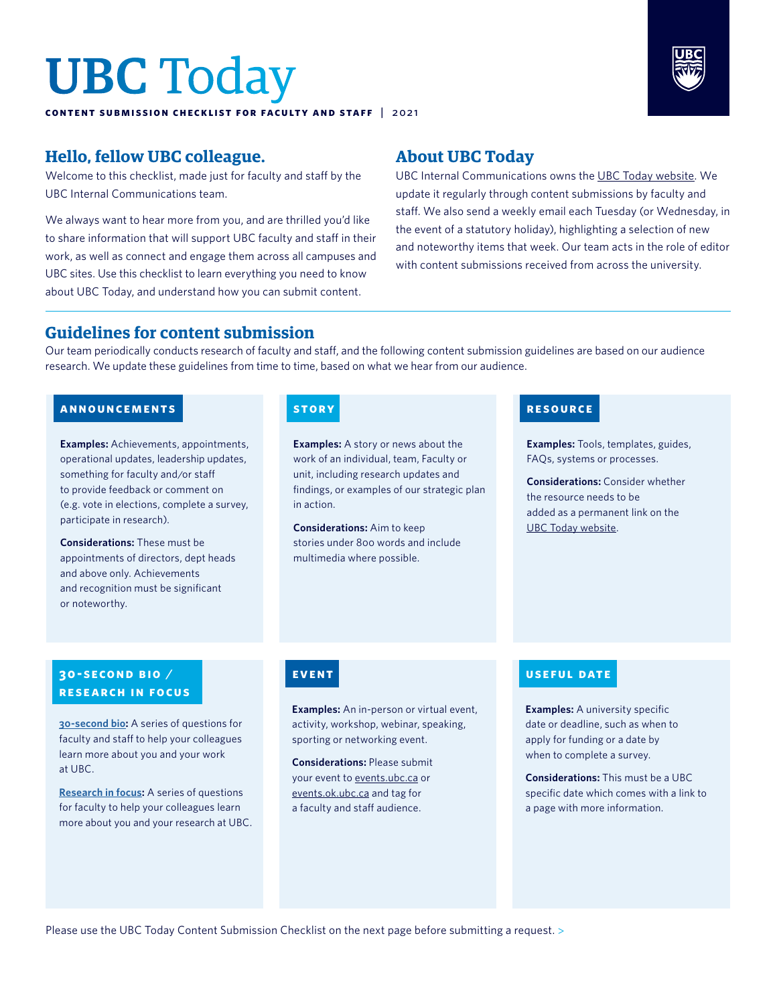# UBC Today

**content submission checklist for faculty and staff** | 2 02 1



### **Hello, fellow UBC colleague.**

Welcome to this checklist, made just for faculty and staff by the UBC Internal Communications team.

We always want to hear more from you, and are thrilled you'd like to share information that will support UBC faculty and staff in their work, as well as connect and engage them across all campuses and UBC sites. Use this checklist to learn everything you need to know about UBC Today, and understand how you can submit content.

### **About UBC Today**

UBC Internal Communications owns the [UBC Today website](https://ubctoday.ubc.ca/). We update it regularly through content submissions by faculty and staff. We also send a weekly email each Tuesday (or Wednesday, in the event of a statutory holiday), highlighting a selection of new and noteworthy items that week. Our team acts in the role of editor with content submissions received from across the university.

### **Guidelines for content submission**

Our team periodically conducts research of faculty and staff, and the following content submission guidelines are based on our audience research. We update these guidelines from time to time, based on what we hear from our audience.

### **announcements story**

**Examples:** Achievements, appointments, operational updates, leadership updates, something for faculty and/or staff to provide feedback or comment on (e.g. vote in elections, complete a survey, participate in research).

**Considerations:** These must be appointments of directors, dept heads and above only. Achievements and recognition must be significant or noteworthy.

**Examples:** A story or news about the work of an individual, team, Faculty or unit, including research updates and findings, or examples of our strategic plan in action.

**Considerations:** Aim to keep stories under 800 words and include multimedia where possible.

### **resource**

**Examples:** Tools, templates, guides, FAQs, systems or processes.

**Considerations:** Consider whether the resource needs to be added as a permanent link on the [UBC Today website.](https://ubctoday.ubc.ca/)

### **30-SECOND BIO / research in focus**

**[30-second bio](https://ubctoday.ubc.ca/submit-your-30-second-bio):** A series of questions for faculty and staff to help your colleagues learn more about you and your work at UBC.

**[Research in focus:](https://ubctoday.ubc.ca/submit-your-research-focus)** A series of questions for faculty to help your colleagues learn more about you and your research at UBC.

**Examples:** An in-person or virtual event, activity, workshop, webinar, speaking, sporting or networking event.

**Considerations:** Please submit your event to [events.ubc.ca](https://events.ubc.ca/) or [events.ok.ubc.ca](https://events.ok.ubc.ca/) and tag for a faculty and staff audience.

### **event useful date useful date**

**Examples:** A university specific date or deadline, such as when to apply for funding or a date by when to complete a survey.

**Considerations:** This must be a UBC specific date which comes with a link to a page with more information.

Please use the UBC Today Content Submission Checklist on the next page before submitting a request. >